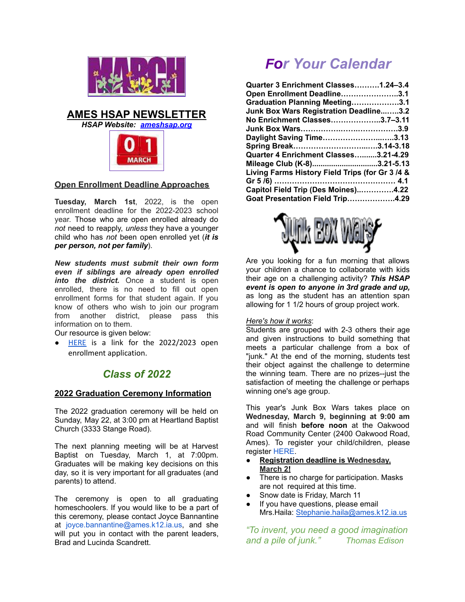

## **AMES HSAP NEWSLETTER**

*HSAP Website: [ameshsap.org](http://ameshsap.org)*



## **Open Enrollment Deadline Approaches**

**Tuesday, March 1st**, 2022, is the open enrollment deadline for the 2022-2023 school year. Those who are open enrolled already do *not* need to reapply, *unless* they have a younger child who has *not* been open enrolled yet (*it is per person, not per family*).

*New students must submit their own form even if siblings are already open enrolled into the district.* Once a student is open enrolled, there is no need to fill out open enrollment forms for that student again. If you know of others who wish to join our program from another district, please pass this information on to them.

Our resource is given below:

[HERE](https://educateiowa.gov/sites/files/ed/documents/SY22-23_OpenEnrollmentApplication_508.pdf) is a link for the 2022/2023 open enrollment application.

# *Class of 2022*

## **2022 Graduation Ceremony Information**

The 2022 graduation ceremony will be held on Sunday, May 22, at 3:00 pm at Heartland Baptist Church (3333 Stange Road).

The next planning meeting will be at Harvest Baptist on Tuesday, March 1, at 7:00pm. Graduates will be making key decisions on this day, so it is very important for all graduates (and parents) to attend.

The ceremony is open to all graduating homeschoolers. If you would like to be a part of this ceremony, please contact Joyce Bannantine at joyce.bannantine@ames.k12.ia.us, and she will put you in contact with the parent leaders, Brad and Lucinda Scandrett.

# *For Your Calendar*

| Quarter 3 Enrichment Classes1.24-3.4            |
|-------------------------------------------------|
| Open Enrollment Deadline3.1                     |
| Graduation Planning Meeting3.1                  |
| Junk Box Wars Registration Deadline3.2          |
| No Enrichment Classes3.7-3.11                   |
|                                                 |
| Daylight Saving Time3.13                        |
| Spring Break3.14-3.18                           |
| Quarter 4 Enrichment Classes3.21-4.29           |
| Mileage Club (K-8)3.21-5.13                     |
| Living Farms History Field Trips (for Gr 3 /4 & |
|                                                 |
| Capitol Field Trip (Des Moines)4.22             |
| Goat Presentation Field Trip4.29                |



Are you looking for a fun morning that allows your children a chance to collaborate with kids their age on a challenging activity? *This HSAP event is open to anyone in 3rd grade and up,* as long as the student has an attention span allowing for 1 1/2 hours of group project work.

#### *Here's how it works*:

Students are grouped with 2-3 others their age and given instructions to build something that meets a particular challenge from a box of "junk." At the end of the morning, students test their object against the challenge to determine the winning team. There are no prizes--just the satisfaction of meeting the challenge or perhaps winning one's age group.

This year's Junk Box Wars takes place on **Wednesday, March 9, beginning at 9:00 am** and will finish **before noon** at the Oakwood Road Community Center (2400 Oakwood Road, Ames). To register your child/children, please register [HERE.](https://docs.google.com/forms/d/e/1FAIpQLSeRPB1win_z43oz3DNtoS4idOHqfYaX9apsVFW_hZrPTO7vDw/viewform?usp=sf_link)

- **Registration deadline is Wednesday, March 2!**
- There is no charge for participation. Masks are not required at this time.
- Snow date is Friday, March 11
- If you have questions, please email Mrs.Haila: [Stephanie.haila@ames.k12.ia.us](mailto:Stephanie.haila@ames.k12.ia.us)

*"To invent, you need a good imagination and a pile of junk." Thomas Edison*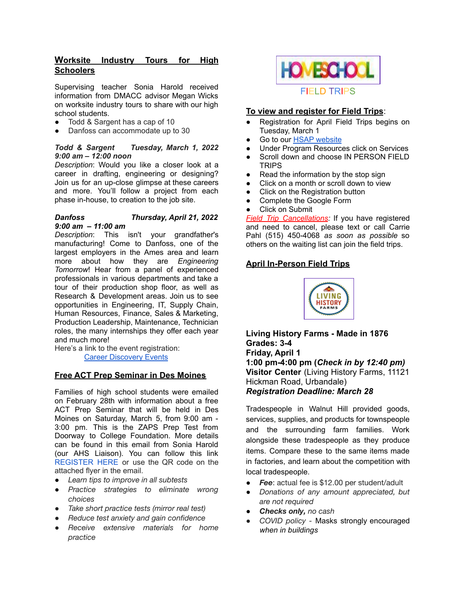## **Worksite Industry Tours for High Schoolers**

Supervising teacher Sonia Harold received information from DMACC advisor Megan Wicks on worksite industry tours to share with our high school students.

- Todd & Sargent has a cap of 10
- Danfoss can accommodate up to 30

#### *Todd & Sargent Tuesday, March 1, 2022 9:00 am – 12:00 noon*

*Description*: Would you like a closer look at a career in drafting, engineering or designing? Join us for an up-close glimpse at these careers and more. You'll follow a project from each phase in-house, to creation to the job site.

#### *Danfoss Thursday, April 21, 2022 9:00 am – 11:00 am*

*Description*: This isn't your grandfather's manufacturing! Come to Danfoss, one of the largest employers in the Ames area and learn more about how they are *Engineering Tomorrow*! Hear from a panel of experienced professionals in various departments and take a tour of their production shop floor, as well as Research & Development areas. Join us to see opportunities in Engineering, IT, Supply Chain, Human Resources, Finance, Sales & Marketing, Production Leadership, Maintenance, Technician roles, the many internships they offer each year and much more!

Here's a link to the event registration: Career [Discovery](https://www.dmacc.edu/careerdiscovery/Pages/careerdiscovery.aspx) Events

## **Free ACT Prep Seminar in Des Moines**

Families of high school students were emailed on February 28th with information about a free ACT Prep Seminar that will be held in Des Moines on Saturday, March 5, from 9:00 am - 3:00 pm. This is the ZAPS Prep Test from Doorway to College Foundation. More details can be found in this email from Sonia Harold (our AHS Liaison). You can follow this link [REGISTER](https://nam02.safelinks.protection.outlook.com/?url=https%3A%2F%2Fdocs.google.com%2Fforms%2Fd%2Fe%2F1FAIpQLSdicx4XQsiLTIcPZ05UDt1Cq0lyzsZ7BAOykf5946nRIHNvaQ%2Fviewform&data=04%7C01%7Cmewicks%40dmacc.edu%7Cbcbb0d18d38c4ae1c8be08d9faeacaa6%7Ce91e8e9401b54e3699301436f67ce779%7C0%7C0%7C637816709477280000%7CUnknown%7CTWFpbGZsb3d8eyJWIjoiMC4wLjAwMDAiLCJQIjoiV2luMzIiLCJBTiI6Ik1haWwiLCJXVCI6Mn0%3D%7C3000&sdata=yXr51azQf51jeR4SkciJfgvwq00K%2BoAR2YBhieelq4Q%3D&reserved=0) HERE or use the QR code on the attached flyer in the email.

- *Learn tips to improve in all subtests*
- *● Practice strategies to eliminate wrong choices*
- *● Take short practice tests (mirror real test)*
- *● Reduce test anxiety and gain confidence*
- *● Receive extensive materials for home practice*



#### **To view and register for Field Trips**:

- Registration for April Field Trips begins on Tuesday, March 1
- Go to our HSAP [website](http://ameshsap.org/)
- Under Program Resources click on Services
- Scroll down and choose IN PERSON FIELD **TRIPS**
- Read the information by the stop sign
- Click on a month or scroll down to view
- Click on the Registration button
- Complete the Google Form
- Click on Submit

*Field Trip Cancellations:* If you have registered and need to cancel, please text or call Carrie Pahl (515) 450-4068 *as soon as possible* so others on the waiting list can join the field trips.

#### **April In-Person Field Trips**



**Living History Farms - Made in 1876 Grades: 3-4 Friday, April 1 1:00 pm-4:00 pm (***Check in by 12:40 pm)* **Visitor Center** (Living History Farms, 11121 Hickman Road, Urbandale) *Registration Deadline: March 28*

Tradespeople in Walnut Hill provided goods, services, supplies, and products for townspeople and the surrounding farm families. Work alongside these tradespeople as they produce items. Compare these to the same items made in factories, and learn about the competition with local tradespeople.

- *Fee*: actual fee is \$12.00 per student/adult
- *Donations of any amount appreciated, but are not required*
- *Checks only, no cash*
- *● COVID policy -* Masks strongly encouraged *when in buildings*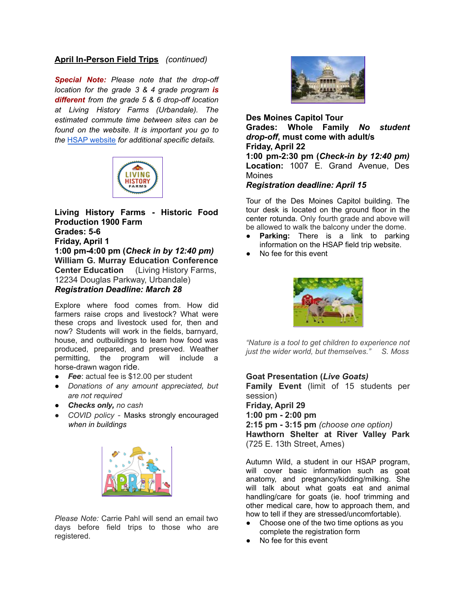## **April In-Person Field Trips** *(continued)*

*Special Note: Please note that the drop-off location for the grade 3 & 4 grade program is different from the grade 5 & 6 drop-off location at Living History Farms (Urbandale). The estimated commute time between sites can be found on the website. It is important you go to the* HSAP [website](http://ameshsap.org/) *for additional specific details.*



**Living History Farms - Historic Food Production 1900 Farm Grades: 5-6 Friday, April 1 1:00 pm-4:00 pm (***Check in by 12:40 pm)* **William G. Murray Education Conference Center Education** (Living History Farms, 12234 Douglas Parkway, Urbandale) *Registration Deadline: March 28*

Explore where food comes from. How did farmers raise crops and livestock? What were these crops and livestock used for, then and now? Students will work in the fields, barnyard, house, and outbuildings to learn how food was produced, prepared, and preserved. Weather permitting, the program will include a horse-drawn wagon ride.

- **Fee**: actual fee is \$12.00 per student
- *Donations of any amount appreciated, but are not required*
- *Checks only, no cash*
- *● COVID policy -* Masks strongly encouraged *when in buildings*



*Please Note:* Carrie Pahl will send an email two days before field trips to those who are registered.



**Des Moines Capitol Tour Grades: Whole Family** *No student drop-off***, must come with adult/s Friday, April 22 1:00 pm-2:30 pm (***Check-in by 12:40 pm)* **Location:** 1007 E. Grand Avenue, Des **Moines** 

## *Registration deadline: April 15*

Tour of the Des Moines Capitol building. The tour desk is located on the ground floor in the center rotunda. Only fourth grade and above will be allowed to walk the balcony under the dome.

- **Parking:** There is a link to parking information on the HSAP field trip website.
- No fee for this event



*"Nature is a tool to get children to experience not just the wider world, but themselves." S. Moss*

## **Goat Presentation (***Live Goats)*

**Family Event** (limit of 15 students per session)

**Friday, April 29 1:00 pm - 2:00 pm 2:15 pm - 3:15 pm** *(choose one option)* **Hawthorn Shelter at River Valley Park** (725 E. 13th Street, Ames)

Autumn Wild, a student in our HSAP program, will cover basic information such as goat anatomy, and pregnancy/kidding/milking. She will talk about what goats eat and animal handling/care for goats (ie. hoof trimming and other medical care, how to approach them, and how to tell if they are stressed/uncomfortable).

- Choose one of the two time options as you complete the registration form
- No fee for this event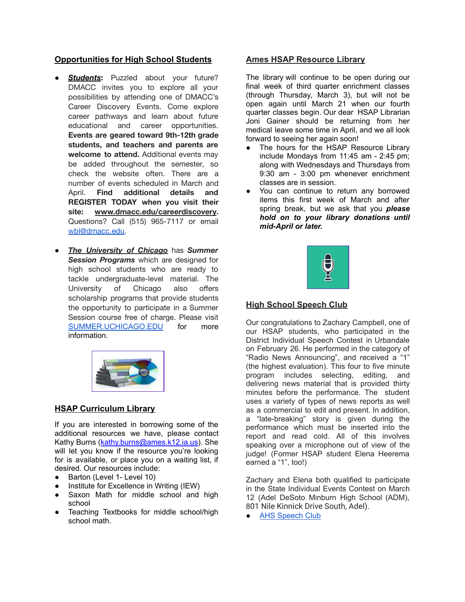## **Opportunities for High School Students**

- **Students:** Puzzled about your future? DMACC invites you to explore all your possibilities by attending one of DMACC's Career Discovery Events. Come explore career pathways and learn about future educational and career opportunities. **Events are geared toward 9th-12th grade students, and teachers and parents are welcome to attend.** Additional events may be added throughout the semester, so check the website often. There are a number of events scheduled in March and April. **Find additional details and REGISTER TODAY when you visit their site: [www.dmacc.edu/careerdiscovery](https://r20.rs6.net/tn.jsp?f=001ZyhGoQgDuqEdgCooYe-vR8lHLs3wLMXhfZVaiqSqO1ARM65MusBQSBlmEm_UveD0ohDfSj8escsDODPb3PPn0g-473PD04sloq3Vqzjkglo5124ihsLkK6KgKZUUzXT2bR-pF_6lBIqQfNty7ebNjuZqXBsyTtibj6aR7SM3uruw7NYT3PwO8BPrpgjUcoM-&c=q5HdBGZRyx_111_GkkfypzpmtOUgNESWSvz7GHuWr6Zqz7VxUYkFzg==&ch=nEDFOo0L502b2vfwrBh8h2IB1k7eXN5Dl5-Pc47713fhrEjm2FRpaQ==).** Questions? Call (515) 965-7117 or email [wbl@dmacc.edu.](mailto:wbl@dmacc.edu)
- *The University of Chicago* has *Summer Session Programs* which are designed for high school students who are ready to tackle undergraduate-level material. The University of Chicago also offers scholarship programs that provide students the opportunity to participate in a Summer Session course free of charge. Please visit [SUMMER.UCHICAGO.EDU](http://summer.uchicago.edu/) for more information.



## **HSAP Curriculum Library**

If you are interested in borrowing some of the additional resources we have, please contact Kathy Burns ([kathy.burns@ames.k12.ia.us\)](mailto:kathy.burns@ames.k12.ia.us). She will let you know if the resource you're looking for is available, or place you on a waiting list, if desired. Our resources include:

- Barton (Level 1- Level 10)
- Institute for Excellence in Writing (IEW)
- Saxon Math for middle school and high school
- Teaching Textbooks for middle school/high school math.

#### **Ames HSAP Resource Library**

The library will continue to be open during our final week of third quarter enrichment classes (through Thursday, March 3), but will not be open again until March 21 when our fourth quarter classes begin. Our dear HSAP Librarian Joni Gainer should be returning from her medical leave some time in April, and we all look forward to seeing her again soon!

- The hours for the HSAP Resource Library include Mondays from 11:45 am - 2:45 pm; along with Wednesdays and Thursdays from 9:30 am - 3:00 pm whenever enrichment classes are in session.
- You can continue to return any borrowed items this first week of March and after spring break, but we ask that you *please hold on to your library donations until mid-April or later.*



## **High School Speech Club**

Our congratulations to Zachary Campbell, one of our HSAP students, who participated in the District Individual Speech Contest in Urbandale on February 26. He performed in the category of "Radio News Announcing", and received a "1" (the highest evaluation). This four to five minute program includes selecting, editing, and delivering news material that is provided thirty minutes before the performance. The student uses a variety of types of news reports as well as a commercial to edit and present. In addition, a "late-breaking" story is given during the performance which must be inserted into the report and read cold. All of this involves speaking over a microphone out of view of the judge! (Former HSAP student Elena Heerema earned a "1", too!)

Zachary and Elena both qualified to participate in the State Individual Events Contest on March 12 (Adel DeSoto Minburn High School (ADM), 801 Nile Kinnick Drive South, Adel).

● AHS [Speech](https://sites.google.com/a/ames.k12.ia.us/ameshighspeechclub) Club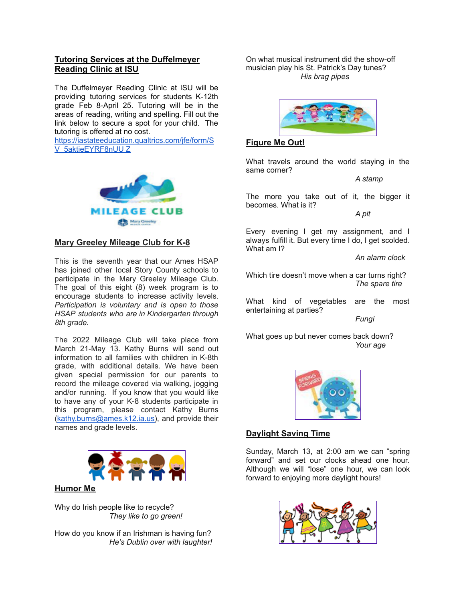## **Tutoring Services at the Duffelmeyer Reading Clinic at ISU**

The Duffelmeyer Reading Clinic at ISU will be providing tutoring services for students K-12th grade Feb 8-April 25. Tutoring will be in the areas of reading, writing and spelling. Fill out the link below to secure a spot for your child. [The](https://iastateeducation.qualtrics.com/jfe/form/SV_5aktieEYRF8nUUZ) [tutoring](https://iastateeducation.qualtrics.com/jfe/form/SV_5aktieEYRF8nUUZ) is offered at no cost.

[https://iastateeducation.qualtrics.com/jfe/form/S](https://iastateeducation.qualtrics.com/jfe/form/SV_5aktieEYRF8nUUZ) [V\\_5aktieEYRF8nUU](https://iastateeducation.qualtrics.com/jfe/form/SV_5aktieEYRF8nUUZ) Z



## **Mary Greeley Mileage Club for K-8**

This is the seventh year that our Ames HSAP has joined other local Story County schools to participate in the Mary Greeley Mileage Club. The goal of this eight (8) week program is to encourage students to increase activity levels. *Participation is voluntary and is open to those HSAP students who are in Kindergarten through 8th grade.*

The 2022 Mileage Club will take place from March 21-May 13. Kathy Burns will send out information to all families with children in K-8th grade, with additional details. We have been given special permission for our parents to record the mileage covered via walking, jogging and/or running. If you know that you would like to have any of your K-8 students participate in this program, please contact Kathy Burns [\(kathy.burns@ames.k12.ia.us\)](mailto:kathy.burns@ames.k12.ia.us), and provide their names and grade levels.



## **Humor Me**

Why do Irish people like to recycle? *They like to go green!*

How do you know if an Irishman is having fun? *He's Dublin over with laughter!* On what musical instrument did the show-off musician play his St. Patrick's Day tunes? *His brag pipes*



## **Figure Me Out!**

What travels around the world staying in the same corner?

*A stamp*

The more you take out of it, the bigger it becomes. What is it?

*A pit*

Every evening I get my assignment, and I always fulfill it. But every time I do, I get scolded. What am I?

*An alarm clock*

Which tire doesn't move when a car turns right? *The spare tire*

What kind of vegetables are the most entertaining at parties?

*Fungi*

What goes up but never comes back down? *Your age*



## **Daylight Saving Time**

Sunday, March 13, at 2:00 am we can "spring forward" and set our clocks ahead one hour. Although we will "lose" one hour, we can look forward to enjoying more daylight hours!

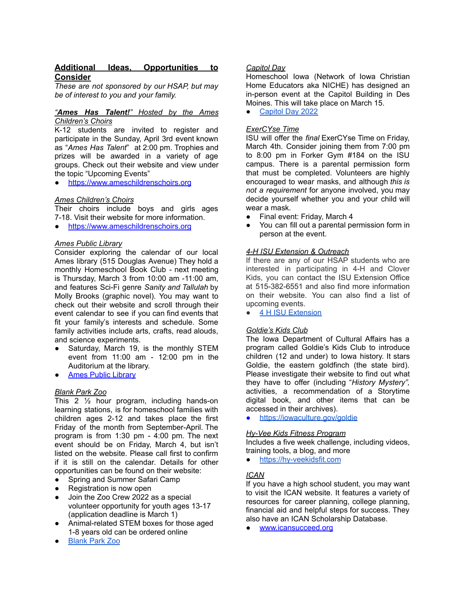## **Additional Ideas, Opportunities to Consider**

*These are not sponsored by our HSAP, but may be of interest to you and your family.*

#### *"Ames Has Talent!" Hosted by the Ames Children's Choirs*

K-12 students are invited to register and participate in the Sunday, April 3rd event known as "*Ames Has Talent*" at 2:00 pm. Trophies and prizes will be awarded in a variety of age groups. Check out their website and view under the topic "Upcoming Events"

<https://www.ameschildrenschoirs.org>

#### *Ames Children's Choirs*

Their choirs include boys and girls ages 7-18. Visit their website for more information.

<https://www.ameschildrenschoirs.org>

#### *Ames Public Library*

Consider exploring the calendar of our local Ames library (515 Douglas Avenue) They hold a monthly Homeschool Book Club - next meeting is Thursday, March 3 from 10:00 am -11:00 am, and features Sci-Fi genre *Sanity and Tallulah* by Molly Brooks (graphic novel). You may want to check out their website and scroll through their event calendar to see if you can find events that fit your family's interests and schedule. Some family activities include arts, crafts, read alouds, and science experiments.

- Saturday, March 19, is the monthly STEM event from 11:00 am - 12:00 pm in the Auditorium at the library.
- **Ames Public [Library](https://www.amespubliclibrary.org/)**

## *Blank Park Zoo*

This 2 ½ hour program, including hands-on learning stations, is for homeschool families with children ages 2-12 and takes place the first Friday of the month from September-April. The program is from 1:30 pm - 4:00 pm. The next event should be on Friday, March 4, but isn't listed on the website. Please call first to confirm if it is still on the calendar. Details for other opportunities can be found on their website:

- Spring and Summer Safari Camp
- Registration is now open
- Join the Zoo Crew 2022 as a special volunteer opportunity for youth ages 13-17 (application deadline is March 1)
- Animal-related STEM boxes for those aged 1-8 years old can be ordered online
- **[Blank](https://www.blankparkzoo.com/) Park Zoo**

#### *Capitol Day*

Homeschool Iowa (Network of Iowa Christian Home Educators aka NICHE) has designed an in-person event at the Capitol Building in Des Moines. This will take place on March 15.

[Capitol](https://homeschooliowa.org/events-page/capitol-day/) Day 2022

#### *ExerCYse Time*

ISU will offer the *final* ExerCYse Time on Friday, March 4th. Consider joining them from 7:00 pm to 8:00 pm in Forker Gym #184 on the ISU campus. There is a parental permission form that must be completed. Volunteers are highly encouraged to wear masks, and although *this is not a requirement* for anyone involved, you may decide yourself whether you and your child will wear a mask.

- Final event: Friday, March 4
- You can fill out a parental permission form in person at the event.

#### *4-H ISU Extension & Outreach*

If there are any of our HSAP students who are interested in participating in 4-H and Clover Kids, you can contact the ISU Extension Office at 515-382-6551 and also find more information on their website. You can also find a list of upcoming events.

● 4 H ISU [Extension](https://www.extension.iastate.edu/story/page/join-4-h)

## *Goldie's Kids Club*

The Iowa Department of Cultural Affairs has a program called Goldie's Kids Club to introduce children (12 and under) to Iowa history. It stars Goldie, the eastern goldfinch (the state bird). Please investigate their website to find out what they have to offer (including "*History Mystery",* activities, a recommendation of a Storytime digital book, and other items that can be accessed in their archives).

<https://iowaculture.gov/goldie>

#### *Hy-Vee Kids Fitness Program*

Includes a five week challenge, including videos, training tools, a blog, and more

<https://hy-veekidsfit.com>

## *ICAN*

If you have a high school student, you may want to visit the ICAN website. It features a variety of resources for career planning, college planning, financial aid and helpful steps for success. They also have an ICAN Scholarship Database.

[www.icansucceed.org](http://www.icansucceed.org)